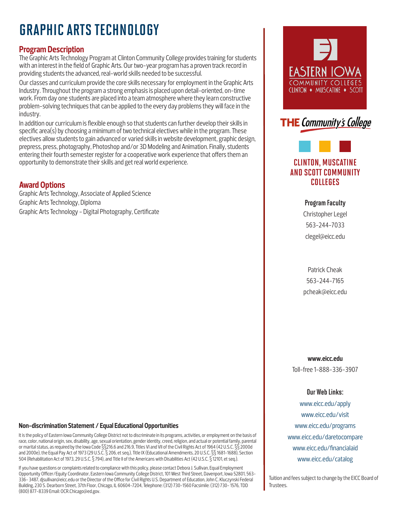# GRAPHIC ARTS TECHNOLOGY

# **Program Description**

The Graphic Arts Technology Program at Clinton Community College provides training for students with an interest in the field of Graphic Arts. Our two-year program has a proven track record in providing students the advanced, real-world skills needed to be successful.

Our classes and curriculum provide the core skills necessary for employment in the Graphic Arts Industry. Throughout the program a strong emphasis is placed upon detail-oriented, on-time work. From day one students are placed into a team atmosphere where they learn constructive problem-solving techniques that can be applied to the every day problems they will face in the industry.

In addition our curriculum is flexible enough so that students can further develop their skills in specific area(s) by choosing a minimum of two technical electives while in the program. These electives allow students to gain advanced or varied skills in website development, graphic design, prepress, press, photography, Photoshop and/or 3D Modeling and Animation. Finally, students entering their fourth semester register for a cooperative work experience that offers them an opportunity to demonstrate their skills and get real world experience.

## **Award Options**

Graphic Arts Technology, Associate of Applied Science Graphic Arts Technology, Diploma Graphic Arts Technology - Digital Photography, Certificate





# CLINTON, MUSCATINE AND SCOTT COMMUNITY COLLEGES

Program Faculty Christopher Legel 563-244-7033 clegel@eicc.edu

Patrick Cheak 563-244-7165 pcheak@eicc.edu

**www.eicc.edu** Toll-free 1-888-336-3907

#### Our Web Links:

www.eicc.edu/apply www.eicc.edu/visit www.eicc.edu/programs www.eicc.edu/daretocompare www.eicc.edu/financialaid www.eicc.edu/catalog

Tuition and fees subject to change by the EICC Board of Trustees.

#### **Non-discrimination Statement / Equal Educational Opportunities**

It is the policy of Eastern Iowa Community College District not to discriminate in its programs, activities, or employment on the basis of race, color, national origin, sex, disability, age, sexual orientation, gender identity, creed, religion, and actual or potential family, parental or marital status, as required by the Iowa Code §§216.6 and 216.9, Titles VI and VII of the Civil Rights Act of 1964 (42 U.S.C. §§ 2000d and 2000e), the Equal Pay Act of 1973 (29 U.S.C. § 206, et seq.), Title IX (Educational Amendments, 20 U.S.C. §§ 1681-1688), Section 504 (Rehabilitation Act of 1973, 29 U.S.C. § 794), and Title II of the Americans with Disabilities Act (42 U.S.C. § 12101, et seq.).

If you have questions or complaints related to compliance with this policy, please contact Debora J. Sullivan, Equal Employment Opportunity Officer/Equity Coordinator, Eastern Iowa Community College District, 101 West Third Street, Davenport, Iowa 52801, 563- 336- 3487, djsullivan@eicc.edu or the Director of the Office for Civil Rights U.S. Department of Education, John C. Kluczynski Federal Building, 230 S. Dearborn Street, 37th Floor, Chicago, IL 60604-7204, Telephone: (312) 730-1560 Facsimile: (312) 730- 1576, TDD (800) 877-8339 Email: OCR.Chicago@ed.gov.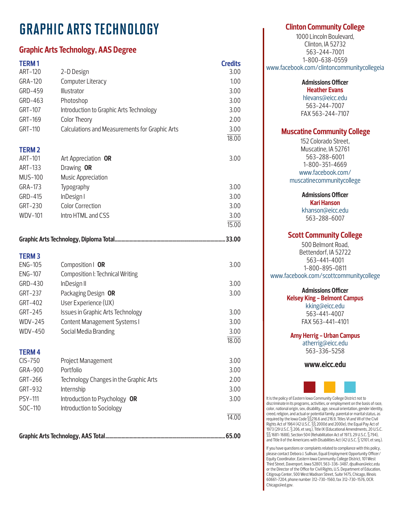# GRAPHIC ARTS TECHNOLOGY

# **Graphic Arts Technology, AAS Degree**

| <b>TERM1</b>   |                                                | <b>Credits</b> |
|----------------|------------------------------------------------|----------------|
| ART-120        | 2-D Design                                     | 3.00           |
| GRA-120        | Computer Literacy                              | 1.00           |
| GRD-459        | Illustrator                                    | 3.00           |
| GRD-463        | Photoshop                                      | 3.00           |
| GRT-107        | Introduction to Graphic Arts Technology        | 3.00           |
| GRT-169        | Color Theory                                   | 2.00           |
| GRT-110        | Calculations and Measurements for Graphic Arts | 3.00           |
| <b>TERM2</b>   |                                                | 18.00          |
| ART-101        | Art Appreciation OR                            | 3.00           |
| ART-133        | Drawing OR                                     |                |
| <b>MUS-100</b> | Music Appreciation                             |                |
| GRA-173        | Typography                                     | 3.00           |
| GRD-415        | InDesign I                                     | 3.00           |
| GRT-230        | <b>Color Correction</b>                        | 3.00           |
| <b>WDV-101</b> | Intro HTML and CSS                             | 3.00           |
|                |                                                | 15.00          |
|                |                                                |                |
| <b>TERM3</b>   |                                                |                |
| <b>ENG-105</b> | Composition   OR                               | 3.00           |
| <b>ENG-107</b> | Composition I: Technical Writing               |                |
| GRD-430        | InDesign II                                    | 3.00           |
| GRT-237        | Packaging Design OR                            | 3.00           |
| GRT-402        | User Experience (UX)                           |                |
| GRT-245        | Issues in Graphic Arts Technology              | 3.00           |
| <b>WDV-245</b> | Content Management Systems I                   | 3.00           |
| <b>WDV-450</b> | Social Media Branding                          | 3.00           |
|                |                                                | 18.00          |
| <b>TERM4</b>   |                                                |                |
| $CIS-750$      | Project Management                             | 3.00           |
| GRA-900        | Portfolio                                      | 3.00           |
| GRT-266        | Technology Changes in the Graphic Arts         | 2.00           |
| GRT-932        | Internship                                     | 3.00           |
| <b>PSY-111</b> | Introduction to Psychology OR                  | 3.00           |
| SOC-110        | Introduction to Sociology                      | 14.00          |
|                |                                                |                |
|                |                                                |                |

### **Clinton Community College**

1000 Lincoln Boulevard, Clinton, IA 52732 563-244-7001 1-800-638-0559 www.facebook.com/clintoncommunitycollegeia

> **Admissions Officer Heather Evans**

hlevans@eicc.edu 563-244-7007 FAX 563-244-7107

### **Muscatine Community College**

152 Colorado Street, Muscatine, IA 52761 563-288-6001 1-800-351-4669 www.facebook.com/ muscatinecommunitycollege

**Admissions Officer**

**Kari Hanson** khanson@eicc.edu 563-288-6007

## **Scott Community College**

500 Belmont Road, Bettendorf, IA 52722 563-441-4001 1-800-895-0811 www.facebook.com/scottcommunitycollege

### **Admissions Officer**

**Kelsey King - Belmont Campus** kking@eicc.edu 563-441-4007 FAX 563-441-4101

**Amy Herrig - Urban Campus**

atherrig@eicc.edu 563-336-5258

**www.eicc.edu**



It is the policy of Eastern Iowa Community College District not to discriminate in its programs, activities, or employment on the basis of race, color, national origin, sex, disability, age, sexual orientation, gender identity, creed, religion, and actual or potential family, parental or marital status, as required by the Iowa Code §§216.6 and 216.9, Titles VI and VII of the Civil Rights Act of 1964 (42 U.S.C. §§ 2000d and 2000e), the Equal Pay Act of 1973 (29 U.S.C. § 206, et seq.), Title IX (Educational Amendments, 20 U.S.C. §§ 1681-1688), Section 504 (Rehabilitation Act of 1973, 29 U.S.C. § 794), and Title II of the Americans with Disabilities Act (42 U.S.C. § 12101, et seq.).

If you have questions or complaints related to compliance with this policy, please contact Debora J. Sullivan, Equal Employment Opportunity Officer/ Equity Coordinator, Eastern Iowa Community College District, 101 West Third Street, Davenport, Iowa 52801, 563-336-3487, djsullivan@eicc.edu or the Director of the Office for Civil Rights, U.S. Department of Education, Citigroup Center, 500 West Madison Street, Suite 1475, Chicago, Illinois 60661-7204, phone number 312-730-1560, fax 312-730-1576, OCR. Chicago@ed.gov.